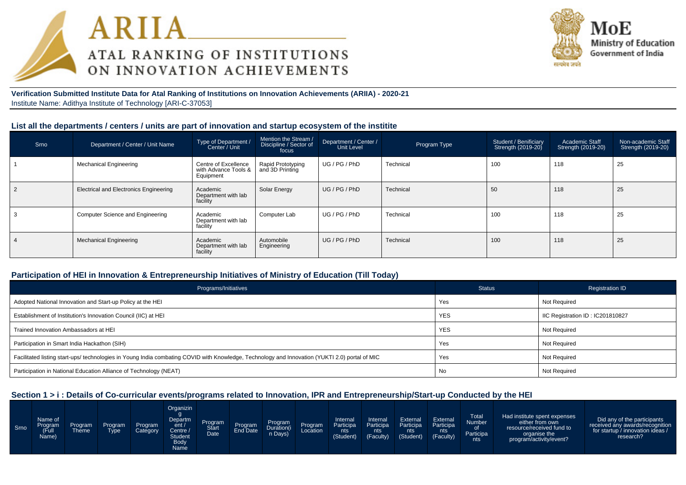



**Verification Submitted Institute Data for Atal Ranking of Institutions on Innovation Achievements (ARIIA) - 2020-21**Institute Name: Adithya Institute of Technology [ARI-C-37053]

#### **List all the departments / centers / units are part of innovation and startup ecosystem of the institite**

| Srno | Department / Center / Unit Name               | Type of Department /<br>Center / Unit                     | Mention the Stream /<br>Discipline / Sector of<br>focus | Department / Center /<br>Unit Level | Program Type | Student / Benificiary<br>Strength (2019-20) | Academic Staff<br>Strength (2019-20) | Non-academic Staff<br>Strength (2019-20) |
|------|-----------------------------------------------|-----------------------------------------------------------|---------------------------------------------------------|-------------------------------------|--------------|---------------------------------------------|--------------------------------------|------------------------------------------|
|      | <b>Mechanical Engineering</b>                 | Centre of Excellence<br>with Advance Tools &<br>Equipment | <b>Rapid Prototyping</b><br>and 3D Printing             | UG/PG/PhD                           | Technical    | 100                                         | 118                                  | 25                                       |
|      | <b>Electrical and Electronics Engineering</b> | Academic<br>Department with lab<br>facility               | Solar Energy                                            | UG/PG/PhD                           | Technical    | 50                                          | 118                                  | 25                                       |
|      | Computer Science and Engineering              | Academic<br>Department with lab<br>facility               | Computer Lab                                            | UG / PG / PhD                       | Technical    | 100                                         | 118                                  | 25                                       |
|      | <b>Mechanical Engineering</b>                 | Academic<br>Department with lab<br>facility               | Automobile<br>Engineering                               | UG/PG/PhD                           | Technical    | 100                                         | 118                                  | 25                                       |

#### **Participation of HEI in Innovation & Entrepreneurship Initiatives of Ministry of Education (Till Today)**

| Programs/Initiatives                                                                                                                           | <b>Status</b> | <b>Registration ID</b>           |
|------------------------------------------------------------------------------------------------------------------------------------------------|---------------|----------------------------------|
| Adopted National Innovation and Start-up Policy at the HEI                                                                                     | Yes           | Not Required                     |
| Establishment of Institution's Innovation Council (IIC) at HEI                                                                                 | <b>YES</b>    | IIC Registration ID: IC201810827 |
| Trained Innovation Ambassadors at HEI                                                                                                          | <b>YES</b>    | Not Required                     |
| Participation in Smart India Hackathon (SIH)                                                                                                   | Yes           | <b>Not Required</b>              |
| Facilitated listing start-ups/ technologies in Young India combating COVID with Knowledge, Technology and Innovation (YUKTI 2.0) portal of MIC | Yes           | <b>Not Required</b>              |
| Participation in National Education Alliance of Technology (NEAT)                                                                              | No            | <b>Not Required</b>              |

### **Section 1 > i : Details of Co-curricular events/programs related to Innovation, IPR and Entrepreneurship/Start-up Conducted by the HEI**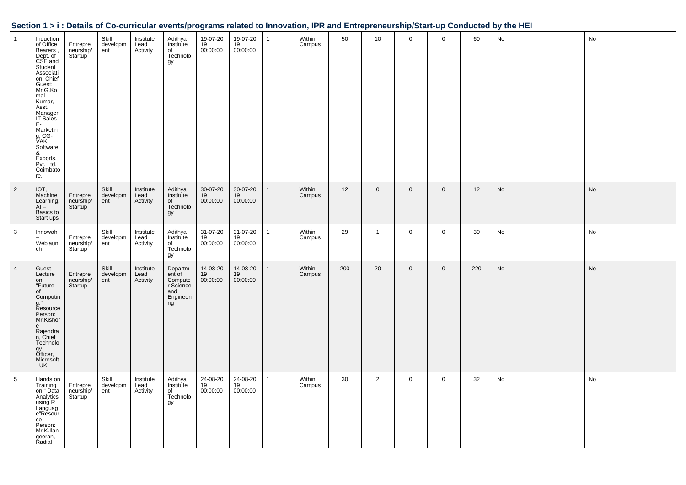| Section 1 > i : Details of Co-curricular events/programs related to Innovation, IPR and Entrepreneurship/Start-up Conducted by the HEI |  |
|----------------------------------------------------------------------------------------------------------------------------------------|--|
|                                                                                                                                        |  |

| $\overline{1}$ | Induction<br>of Office<br>Bearers,<br>Dept. of<br>CSE and<br>Student<br>Associati<br>on, Chief<br>Guest:<br>Mr.G.Ko<br>mal<br>Kumar,<br>Asst.<br>Manager,<br>IT Sales,<br>E-<br>Marketin<br>g, CG-<br>VAK,<br>Software<br>&<br>Exports,<br>Pvt. Ltd,<br>Coimbato<br>re. | Entrepre<br>neurship/<br>Startup <sup>'</sup> | Skill<br>developm<br>ent | Institute<br>Lead<br>Activity | Adithya<br>Institute<br>of<br>Technolo<br>gy                        | 19-07-20<br>19<br>00:00:00 | 19-07-20<br>19<br>00:00:00 | $\mathbf{1}$ | Within<br>Campus | 50  | 10             | $\mathbf 0$ | $\mathbf 0$ | 60  | No | No |
|----------------|-------------------------------------------------------------------------------------------------------------------------------------------------------------------------------------------------------------------------------------------------------------------------|-----------------------------------------------|--------------------------|-------------------------------|---------------------------------------------------------------------|----------------------------|----------------------------|--------------|------------------|-----|----------------|-------------|-------------|-----|----|----|
| $\overline{2}$ | IOT,<br>Machine<br>Learning,<br>$AI -$<br>Basics to<br>Start ups                                                                                                                                                                                                        | Entrepre<br>neurship/<br>Startup              | Skill<br>developm<br>ent | Institute<br>Lead<br>Activity | Adithya<br>Institute<br>of<br>Technolo<br>gy                        | 30-07-20<br>19<br>00:00:00 | 30-07-20<br>19<br>00:00:00 | $\mathbf{1}$ | Within<br>Campus | 12  | $\mathbf 0$    | $\mathbf 0$ | $\mathbf 0$ | 12  | No | No |
| $\mathbf{3}$   | Innowah<br>Weblaun<br>ch                                                                                                                                                                                                                                                | Entrepre<br>neurship/<br>Startup              | Skill<br>developm<br>ent | Institute<br>Lead<br>Activity | Adithya<br>Institute<br>of<br>Technolo<br>gy                        | 31-07-20<br>19<br>00:00:00 | 31-07-20<br>19<br>00:00:00 | $\mathbf{1}$ | Within<br>Campus | 29  | $\overline{1}$ | $\mathbf 0$ | $\mathbf 0$ | 30  | No | No |
| $\overline{4}$ | Guest<br>Lecture<br>on<br>"Future<br>of<br>Computin<br>g:"<br>Resource<br>Person:<br>Mr.Kishor<br>e<br>Rajendra<br>n, Chief<br>Technolo<br>gy<br>Officer,<br>Microsoft<br>$- UK$                                                                                        | Entrepre<br>neurship/<br>Startup              | Skill<br>developm<br>ent | Institute<br>Lead<br>Activity | Departm<br>ent of<br>Compute<br>r Science<br>and<br>Engineeri<br>ng | 14-08-20<br>19<br>00:00:00 | 14-08-20<br>19<br>00:00:00 | $\mathbf{1}$ | Within<br>Campus | 200 | 20             | $\mathbf 0$ | $\mathbf 0$ | 220 | No | No |
| 5              | Hands on<br>Training<br>on "Data<br>Analytics<br>using R<br>Languag<br>e"Resour<br>ce<br>Person:<br>Mr.K.llan<br>geeran,<br>Radial                                                                                                                                      | Entrepre<br>neurship/<br><b>Startup</b>       | Skill<br>developm<br>ent | Institute<br>Lead<br>Activity | Adithya<br>Institute<br>of<br>Technolo<br>gy                        | 24-08-20<br>19<br>00:00:00 | 24-08-20<br>19<br>00:00:00 | $\mathbf{1}$ | Within<br>Campus | 30  | $\overline{2}$ | $\mathbf 0$ | $\mathbf 0$ | 32  | No | No |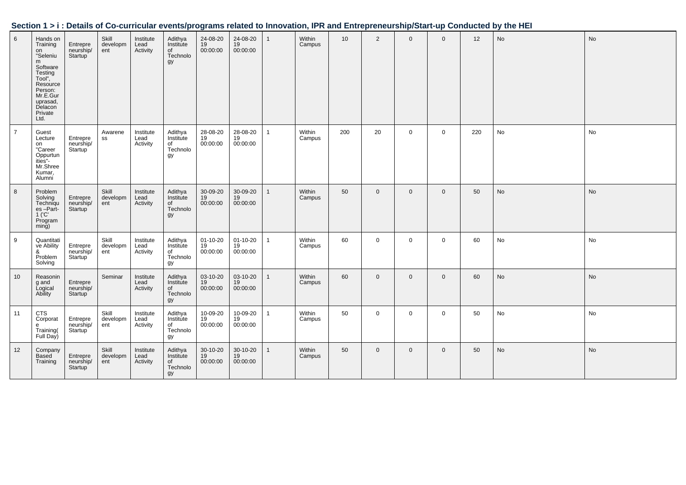| Section 1 > i : Details of Co-curricular events/programs related to Innovation, IPR and Entrepreneurship/Start-up Conducted by the HEI |  |  |
|----------------------------------------------------------------------------------------------------------------------------------------|--|--|
|                                                                                                                                        |  |  |

| 6              | Hands on<br>Training<br>on<br>"Seleniu<br>m<br>Software<br>Testing<br>Tool",<br>Resource<br>Person:<br>Mr.E.Gur<br>uprasad,<br>Delacon<br>Private<br>Ltd. | Entrepre<br>neurship/<br>Startup              | Skill<br>developm<br>ent | Institute<br>Lead<br>Activity | Adithya<br>Institute<br>of<br>Technolo<br>gy            | 24-08-20<br>19<br>00:00:00       | 24-08-20<br>19<br>00:00:00 | $\mathbf{1}$ | Within<br>Campus | 10  | $\overline{2}$ | $\mathbf 0$  | $\mathbf 0$    | 12  | No | No |
|----------------|-----------------------------------------------------------------------------------------------------------------------------------------------------------|-----------------------------------------------|--------------------------|-------------------------------|---------------------------------------------------------|----------------------------------|----------------------------|--------------|------------------|-----|----------------|--------------|----------------|-----|----|----|
| $\overline{7}$ | Guest<br>Lecture<br>on<br>"Career<br>Oppurtun<br>ities"-<br>Mr.Shree<br>Kumar,<br>Alumni                                                                  | Entrepre<br>neurship/<br>Startup              | Awarene<br>SS            | Institute<br>Lead<br>Activity | Adithya<br>Institute<br>of<br>Technolo<br>gy            | 28-08-20<br>19<br>00:00:00       | 28-08-20<br>19<br>00:00:00 | $\mathbf{1}$ | Within<br>Campus | 200 | 20             | $\mathbf 0$  | $\mathbf 0$    | 220 | No | No |
| 8              | Problem<br>Solving<br>Techniqu<br>$es$ -Part-<br>$1$ ( $^{\circ}$ C $^{\circ}$<br>Program<br>min <sub>g</sub>                                             | Entrepre<br>neurship/<br>Startup              | Skill<br>developm<br>ent | Institute<br>Lead<br>Activity | Adithya<br>Institute<br>niomato<br>of<br>Technolo<br>gy | 30-09-20<br>19<br>00:00:00       | 30-09-20<br>19<br>00:00:00 | $\mathbf{1}$ | Within<br>Campus | 50  | $\mathbf{0}$   | $\mathbf{0}$ | $\overline{0}$ | 50  | No | No |
| 9              | Quantitati<br>ve Ability<br>&<br>Problem<br>Solving                                                                                                       | Entrepre<br>neurship/<br>Startup <sup>'</sup> | Skill<br>developm<br>ent | Institute<br>Lead<br>Activity | Adithya<br>Institute<br>of<br>Technolo<br>gy            | $01 - 10 - 20$<br>19<br>00:00:00 | 01-10-20<br>19<br>00:00:00 | $\mathbf{1}$ | Within<br>Campus | 60  | $\mathbf 0$    | $\mathbf 0$  | $\mathbf 0$    | 60  | No | No |
| 10             | Reasonin<br>g and<br>Logical<br>Ability                                                                                                                   | Entrepre<br>neurship/<br>Startup              | Seminar                  | Institute<br>Lead<br>Activity | Adithya<br>Institute<br>Qf<br>Technolo<br>gy            | 03-10-20<br>19<br>00:00:00       | 03-10-20<br>19<br>00:00:00 | $\mathbf{1}$ | Within<br>Campus | 60  | $\overline{0}$ | $\mathbf{0}$ | $\mathbf{0}$   | 60  | No | No |
| 11             | <b>CTS</b><br>Corporat<br>e<br>Training(<br>Full Day)                                                                                                     | Entrepre<br>neurship/<br>Startup <sup>'</sup> | Skill<br>developm<br>ent | Institute<br>Lead<br>Activity | Adithya<br>Institute<br>of<br>Technolo<br>gy            | 10-09-20<br>19<br>00:00:00       | 10-09-20<br>19<br>00:00:00 | $\mathbf{1}$ | Within<br>Campus | 50  | $\mathbf 0$    | $\mathbf 0$  | $\mathbf{0}$   | 50  | No | No |
| 12             | Company<br>Based<br>Training                                                                                                                              | Entrepre<br>neurship/<br>Startup <sup>1</sup> | Skill<br>developm<br>ent | Institute<br>Lead<br>Activity | Adithya<br>Institute<br>of<br>Technolo<br>gy            | 30-10-20<br>19<br>00:00:00       | 30-10-20<br>19<br>00:00:00 | $\mathbf{1}$ | Within<br>Campus | 50  | $\mathbf{0}$   | $\mathbf{0}$ | $\mathbf{0}$   | 50  | No | No |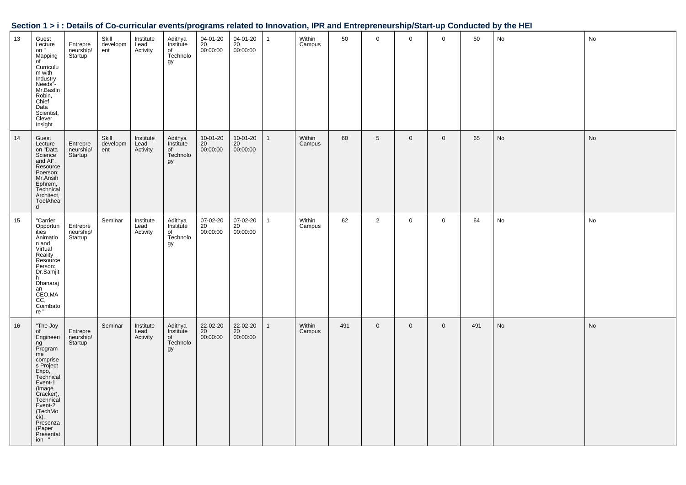| $\vert$ 13 | Guest<br>Lecture<br>on "<br>Mapping<br>of<br>Curriculu<br>m with<br>Industry<br>Needs"-<br>Mr.Bastin<br>Robin,<br>Chief<br>Data<br>Scientist,<br>Clever<br>Insight                                                             | Entrepre<br>neurship/<br>Startup <sup>'</sup> | Skill<br>developm<br>ent | Institute<br>Lead<br>Activity | Adithya<br>Institute<br>of<br>Technolo<br>gy | 04-01-20<br>20<br>00:00:00 | 04-01-20 1<br>20<br>00:00:00 |                | Within<br>Campus | 50  | 0               | $\mathbf 0$    | $\mathbf{0}$   | 50  | No | No |
|------------|--------------------------------------------------------------------------------------------------------------------------------------------------------------------------------------------------------------------------------|-----------------------------------------------|--------------------------|-------------------------------|----------------------------------------------|----------------------------|------------------------------|----------------|------------------|-----|-----------------|----------------|----------------|-----|----|----|
| 14         | Guest<br>Lecture<br>on "Data<br>Science<br>and Al",<br>Resource<br>Poerson:<br>Mr.Ansih<br>Ephrem,<br>Technical<br>Architect,<br>ToolAhea<br>d                                                                                 | Entrepre<br>neurship/<br>Startup              | Skill<br>developm<br>ent | Institute<br>Lead<br>Activity | Adithya<br>Institute<br>of<br>Technolo<br>gy | 10-01-20<br>20<br>00:00:00 | 10-01-20<br>20<br>00:00:00   | $\overline{1}$ | Within<br>Campus | 60  | $5\phantom{.0}$ | $\mathbf 0$    | $\mathbf 0$    | 65  | No | No |
| 15         | "Carrier<br>Opportun<br>ities<br>Animatio<br>n and<br>Virtual<br>Reality<br>Resource<br>Person:<br>Dr.Samjit<br>h<br>Dhanaraj<br>an<br>CEO,MA<br>$\overline{c}\overline{c}$ ,<br>Coimbato<br>re "                              | Entrepre<br>neurship/<br>Startup              | Seminar                  | Institute<br>Lead<br>Activity | Adithya<br>Institute<br>of<br>Technolo<br>gy | 07-02-20<br>20<br>00:00:00 | 07-02-20<br>20<br>00:00:00   | $\overline{1}$ | Within<br>Campus | 62  | $\overline{2}$  | $\mathbf 0$    | $\overline{0}$ | 64  | No | No |
| 16         | "The Joy<br>of<br>Engineeri<br>ng<br>Program<br>me<br>comprise<br>s Project<br>$Expo$ ,<br>Technical<br>Event-1<br>Creater<br>Cracker),<br>Technical<br>Event-2<br>(TechMo<br>ck),<br>Presenza<br>(Paper<br>Presentat<br>ion " | Entrepre<br>neurship/<br>Startup <sup>'</sup> | Seminar                  | Institute<br>Lead<br>Activity | Adithya<br>Institute<br>of<br>Technolo<br>gy | 22-02-20<br>20<br>00:00:00 | 22-02-20<br>20<br>00:00:00   | $\mathbf{1}$   | Within<br>Campus | 491 | $\mathbf 0$     | $\overline{0}$ | $\mathbf 0$    | 491 | No | No |

┯

# **Section 1 > i : Details of Co-curricular events/programs related to Innovation, IPR and Entrepreneurship/Start-up Conducted by the HEI<br>13 Guest Similar Skill Institute Adithya 04-01-20 04-01-20 1 Within 50 0 0 0 0 0 50 No**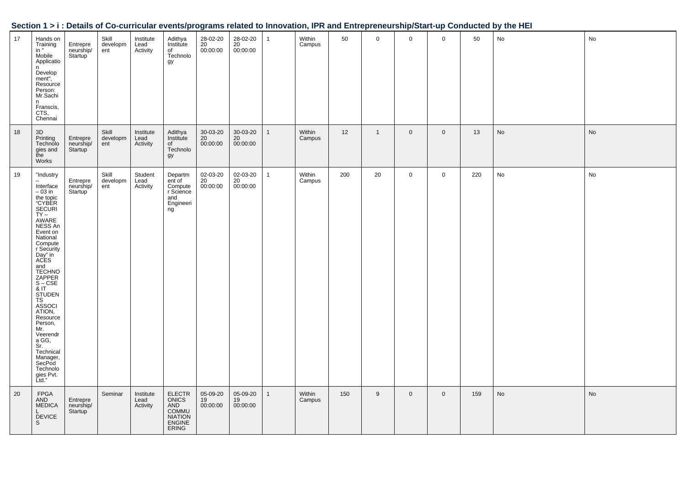|  |  | Section 1 > i : Details of Co-curricular events/programs related to Innovation, IPR and Entrepreneurship/Start-up Conducted by the HEI |
|--|--|----------------------------------------------------------------------------------------------------------------------------------------|
|  |  |                                                                                                                                        |

| 17 | Hands on<br>Training<br>in "<br>Mobile<br>Applicatio<br>n<br>Develop<br>ment",<br>Resource<br>Person:<br>Mr.Sachi<br>n<br>Franscis,<br>CTS,<br>Chennai                                                                                                                                                                                                                                                      | Entrepre<br>neurship/<br>Startup              | Skill<br>developm<br>ent | Institute<br>Lead<br>Activity | Adithya<br>Institute<br>of<br>Technolo<br>gy                                                            | 28-02-20<br>20<br>00:00:00       | 28-02-20<br>20<br>00:00:00 | $\mathbf{1}$ | Within<br>Campus | 50  | $\mathbf 0$  | $\overline{0}$ | $\mathsf 0$    | 50  | No | No |
|----|-------------------------------------------------------------------------------------------------------------------------------------------------------------------------------------------------------------------------------------------------------------------------------------------------------------------------------------------------------------------------------------------------------------|-----------------------------------------------|--------------------------|-------------------------------|---------------------------------------------------------------------------------------------------------|----------------------------------|----------------------------|--------------|------------------|-----|--------------|----------------|----------------|-----|----|----|
| 18 | 3D<br>Printing<br>Technolo<br>gies and<br>the<br>Works                                                                                                                                                                                                                                                                                                                                                      | Entrepre<br>neurship/<br>Startup              | Skill<br>developm<br>ent | Institute<br>Lead<br>Activity | Adithya<br>Institute<br>of<br>Technolo<br>gy                                                            | $30 - 03 - 20$<br>20<br>00:00:00 | 30-03-20<br>20<br>00:00:00 | $\mathbf{1}$ | Within<br>Campus | 12  | $\mathbf{1}$ | $\overline{0}$ | $\overline{0}$ | 13  | No | No |
| 19 | "Industry<br>Interface<br>$-03$ in<br>the topic<br>"CYBER<br><b>SECURI</b><br>$TY -$<br>AWARE<br>NESS An<br>Event on<br>National<br>Compute<br>r Security<br>Day" in<br>ACES<br>and<br><b>TECHNO</b><br>ZAPPER<br>S – CSE<br>& IT<br><b>STUDEN</b><br>TS<br>ASSOCI<br>ATION,<br>Resource<br>Person,<br>Mr.<br>Veerendr<br>a GG,<br>Sr.<br>Technical<br>Manager,<br>SecPod<br>Technolo<br>gies Pvt.<br>Ltd." | Entrepre<br>neurship/<br>Startup              | Skill<br>developm<br>ent | Student<br>Lead<br>Activity   | Departm<br>ent of<br>Compute<br>r Science<br>and<br>Engineeri<br>ng                                     | 02-03-20<br>20<br>00:00:00       | 02-03-20<br>20<br>00:00:00 | 1            | Within<br>Campus | 200 | 20           | $\overline{0}$ | $\mathbf 0$    | 220 | No | No |
| 20 | <b>FPGA</b><br>AND<br><b>MEDICA</b><br><b>DEVICE</b><br>S.                                                                                                                                                                                                                                                                                                                                                  | Entrepre<br>neurship/<br>Startup <sup>1</sup> | Seminar                  | Institute<br>Lead<br>Activity | <b>ELECTR</b><br><b>ONICS</b><br>AND<br><b>COMMU</b><br><b>NIATION</b><br><b>ENGINE</b><br><b>ERING</b> | 05-09-20<br>19<br>00:00:00       | 05-09-20<br>19<br>00:00:00 | 1            | Within<br>Campus | 150 | 9            | $\overline{0}$ | $\mathsf 0$    | 159 | No | No |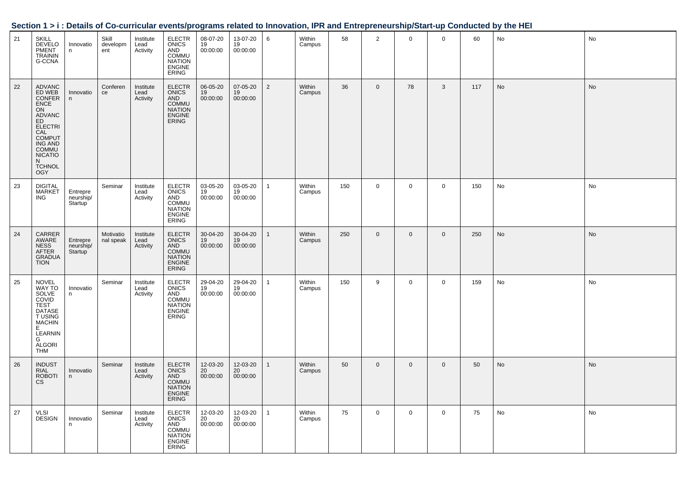|    |                                                                                                                                                                                |                                  |                          |                               |                                                                                                         |                            |                            |                |                  |     |                |              |              |     | occupii i z i . Detano or oo-camicalar eventorprogramo relatea to mnovation, ir it and Entreprenearonprotari-ap oonducted by the riEr |    |
|----|--------------------------------------------------------------------------------------------------------------------------------------------------------------------------------|----------------------------------|--------------------------|-------------------------------|---------------------------------------------------------------------------------------------------------|----------------------------|----------------------------|----------------|------------------|-----|----------------|--------------|--------------|-----|---------------------------------------------------------------------------------------------------------------------------------------|----|
| 21 | <b>SKILL</b><br><b>DEVELO</b><br>PMENT<br><b>TRAININ</b><br>G-CCNA                                                                                                             | Innovatio<br>n                   | Skill<br>developm<br>ent | Institute<br>Lead<br>Activity | <b>ELECTR</b><br>ONICS<br>AND<br><b>COMMU</b><br><b>NIATION</b><br>ENGINE<br>ERING                      | 08-07-20<br>19<br>00:00:00 | 13-07-20<br>19<br>00:00:00 | 6              | Within<br>Campus | 58  | $\overline{2}$ | $\mathbf 0$  | $\mathbf 0$  | 60  | No                                                                                                                                    | No |
| 22 | <b>ADVANC</b><br>ED WEB<br>CONFER<br>CONFER<br>ON<br>ON<br>ADVANC<br>ELECTRI<br>CAL<br>COMMU<br>COMMU<br>COMMU<br>COMMU<br><b>NICATIO</b><br>N.<br><b>TCHNOL</b><br><b>OGY</b> | Innovatio<br>n                   | Conferen<br>ce           | Institute<br>Lead<br>Activity | <b>ELECTR</b><br><b>ONICS<br/>AND<br/>COMMU<br/>NIATION<br/>ENGINE</b><br><b>ERING</b>                  | 06-05-20<br>19<br>00:00:00 | 07-05-20<br>19<br>00:00:00 | $\overline{2}$ | Within<br>Campus | 36  | $\mathbf 0$    | 78           | 3            | 117 | No                                                                                                                                    | No |
| 23 | <b>DIGITAL</b><br><b>MARKET</b><br>ING                                                                                                                                         | Entrepre<br>neurship/<br>Startup | Seminar                  | Institute<br>Lead<br>Activity | <b>ELECTR</b><br>ONICS<br>AND<br>COMMU<br><b>NIATION</b><br><b>ENGINE</b><br><b>ERING</b>               | 03-05-20<br>19<br>00:00:00 | 03-05-20<br>19<br>00:00:00 | $\mathbf{1}$   | Within<br>Campus | 150 | $\mathbf 0$    | $\mathbf 0$  | $\mathbf 0$  | 150 | No                                                                                                                                    | No |
| 24 | CARRER<br>AWARE<br>NESS<br>AFTER<br>GRADUA<br><b>TION</b>                                                                                                                      | Entrepre<br>neurship/<br>Startup | Motivatio<br>nal speak   | Institute<br>Lead<br>Activity | <b>ELECTR</b><br><b>ONICS</b><br>AND<br><b>COMMU</b><br><b>NIATION</b><br><b>ENGINE</b><br><b>ERING</b> | 30-04-20<br>19<br>00:00:00 | 30-04-20<br>19<br>00:00:00 | $\mathbf{1}$   | Within<br>Campus | 250 | $\mathbf{0}$   | $\mathbf{0}$ | $\mathbf{0}$ | 250 | No                                                                                                                                    | No |
| 25 | <b>NOVEL</b><br>WAY TO<br>SOLVE<br>COVID<br>TEST<br>DATASE<br>T USING<br><b>MACHIN</b><br>E<br>LEARNIN<br>G<br><b>ALGORI</b><br><b>THM</b>                                     | Innovatio<br>n                   | Seminar                  | Institute<br>Lead<br>Activity | <b>ELECTR</b><br><b>ONICS</b><br>AND<br><b>COMMU</b><br><b>NIATION</b><br><b>ENGINE</b><br><b>ERING</b> | 29-04-20<br>19<br>00:00:00 | 29-04-20<br>19<br>00:00:00 | $\mathbf{1}$   | Within<br>Campus | 150 | 9              | $\mathbf 0$  | $\mathsf 0$  | 159 | No                                                                                                                                    | No |
| 26 | <b>INDUST</b><br><b>RIAL</b><br>ROBOTI<br>CS                                                                                                                                   | Innovatio<br>n                   | Seminar                  | Institute<br>Lead<br>Activity | <b>ELECTR</b><br>ONICS<br>AND<br>COMMU<br><b>NIATION</b><br>ENGINE<br>ERING                             | 12-03-20<br>20<br>00:00:00 | 12-03-20<br>20<br>00:00:00 | $\mathbf{1}$   | Within<br>Campus | 50  | $\mathbf 0$    | $\mathbf{0}$ | $\mathbf 0$  | 50  | No                                                                                                                                    | No |
| 27 | VLSI<br>DESIGN                                                                                                                                                                 | Innovatio<br>n.                  | Seminar                  | Institute<br>Lead<br>Activity | ELECTR<br>ONICS<br>AND<br>COMMU<br>NIATION<br><b>ENGINE</b><br>ERING                                    | 12-03-20<br>20<br>00:00:00 | 12-03-20<br>20<br>00:00:00 | $\mathbf{1}$   | Within<br>Campus | 75  | $\overline{0}$ | $\mathbf 0$  | $\mathbf 0$  | 75  | No                                                                                                                                    | No |

#### Section 1 > i : Details of Co-curricular events/programs related to Innovation JPR and Entrepreneurship/Start-up Conducted by the HFL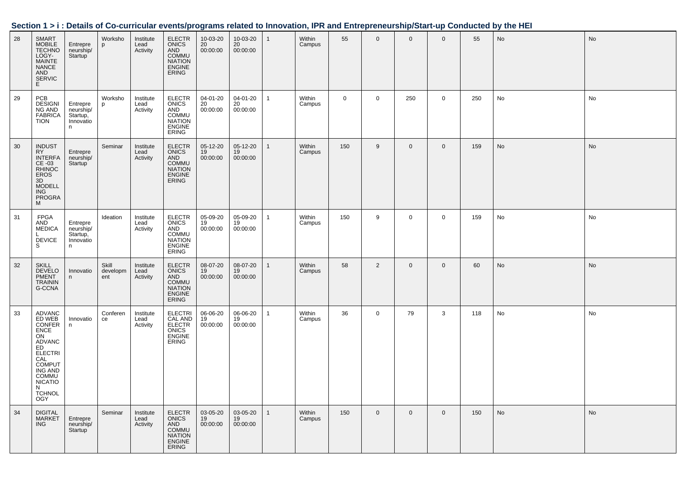| Section 1 > i : Details of Co-curricular events/programs related to Innovation, IPR and Entrepreneurship/Start-up Conducted by the HEI |  |  |
|----------------------------------------------------------------------------------------------------------------------------------------|--|--|
|                                                                                                                                        |  |  |

| 28 | <b>SMART</b><br><b>MOBILE</b><br><b>TECHNO</b><br>LOGY-<br><b>MAINTE</b><br><b>NANCE</b><br>AND<br><b>SERVIC</b><br>E.                                                                      | Entrepre<br>neurship/<br>Startup <sup>1</sup>       | Worksho<br>p             | Institute<br>Lead<br>Activity | <b>ELECTR</b><br><b>ONICS</b><br>AND<br>COMMU<br><b>NIATION</b><br><b>ENGINE</b><br><b>ERING</b>        | 10-03-20<br>20<br>00:00:00 | 10-03-20<br>20<br>00:00:00 | 1            | Within<br>Campus | 55          | $\mathbf 0$    | $\mathbf 0$    | $\mathbf 0$    | 55  | No | <b>No</b> |
|----|---------------------------------------------------------------------------------------------------------------------------------------------------------------------------------------------|-----------------------------------------------------|--------------------------|-------------------------------|---------------------------------------------------------------------------------------------------------|----------------------------|----------------------------|--------------|------------------|-------------|----------------|----------------|----------------|-----|----|-----------|
| 29 | PCB<br><b>DESIGNI</b><br>NG AND<br><b>FABRICA</b><br><b>TION</b>                                                                                                                            | Entrepre<br>neurship/<br>Startup,<br>Innovatio<br>n | Worksho<br>p             | Institute<br>Lead<br>Activity | <b>ELECTR</b><br><b>ONICS</b><br>AND<br><b>COMMU</b><br><b>NIATION</b><br><b>ENGINE</b><br><b>ERING</b> | 04-01-20<br>20<br>00:00:00 | 04-01-20<br>20<br>00:00:00 | $\mathbf{1}$ | Within<br>Campus | $\mathbf 0$ | $\mathbf 0$    | 250            | $\mathsf 0$    | 250 | No | No        |
| 30 | <b>INDUST</b><br>RY<br><b>INTERFA</b><br>CE-03<br>RHINOC<br>EROS<br>3D<br><b>MODELL</b><br>ING<br><b>PROGRA</b><br>M                                                                        | Entrepre<br>neurship/<br><b>Startup</b>             | Seminar                  | Institute<br>Lead<br>Activity | <b>ELECTR</b><br><b>ONICS</b><br>AND<br><b>COMMU</b><br><b>NIATION</b><br><b>ENGINE</b><br><b>ERING</b> | 05-12-20<br>19<br>00:00:00 | 05-12-20<br>19<br>00:00:00 | $\mathbf{1}$ | Within<br>Campus | 150         | 9              | $\overline{0}$ | $\overline{0}$ | 159 | No | <b>No</b> |
| 31 | <b>FPGA</b><br>AND<br><b>MEDICA</b><br><b>DEVICE</b><br>S                                                                                                                                   | Entrepre<br>neurship/<br>Startup,<br>Innovatio<br>n | Ideation                 | Institute<br>Lead<br>Activity | <b>ELECTR</b><br><b>ONICS</b><br>AND<br>COMMU<br><b>NIATION</b><br><b>ENGINE</b><br>ERING               | 05-09-20<br>19<br>00:00:00 | 05-09-20<br>19<br>00:00:00 | $\mathbf{1}$ | Within<br>Campus | 150         | 9              | $\mathbf 0$    | $\overline{0}$ | 159 | No | No        |
| 32 | <b>SKILL</b><br><b>DEVELO</b><br><b>PMENT</b><br><b>TRAININ</b><br>G-CCNA                                                                                                                   | Innovatio<br>n.                                     | Skill<br>developm<br>ent | Institute<br>Lead<br>Activity | <b>ELECTR</b><br><b>ONICS</b><br>AND<br><b>COMMU</b><br><b>NIATION</b><br>ENGINE<br><b>ERING</b>        | 08-07-20<br>19<br>00:00:00 | 08-07-20<br>19<br>00:00:00 | $\mathbf{1}$ | Within<br>Campus | 58          | $\overline{2}$ | $\mathbf 0$    | $\mathsf 0$    | 60  | No | No        |
| 33 | <b>ADVANC</b><br>ED WEB<br><b>CONFER</b><br><b>ENCE</b><br>ON<br>ADVANC<br>ED.<br><b>ELECTRI</b><br>CAL<br><b>COMPUT</b><br>ING AND<br>COMMU<br><b>NICATIO</b><br>N<br><b>TCHNOL</b><br>OGY | Innovatio<br>n                                      | Conferen<br>ce           | Institute<br>Lead<br>Activity | <b>ELECTRI</b><br><b>CAL AND</b><br><b>ELECTR</b><br>ONICS<br>ENGINE<br><b>ERING</b>                    | 06-06-20<br>19<br>00:00:00 | 06-06-20<br>19<br>00:00:00 | $\mathbf{1}$ | Within<br>Campus | 36          | $\mathbf 0$    | 79             | 3              | 118 | No | No        |
| 34 | <b>DIGITAL</b><br><b>MARKET</b><br><b>ING</b>                                                                                                                                               | Entrepre<br>neurship/<br>Startup                    | Seminar                  | Institute<br>Lead<br>Activity | <b>ELECTR</b><br>ONICS<br>AND<br><b>COMMU</b><br><b>NIATION</b><br><b>ENGINE</b><br>ERING               | 03-05-20<br>19<br>00:00:00 | 03-05-20<br>19<br>00:00:00 | $\mathbf{1}$ | Within<br>Campus | 150         | $\mathbf 0$    | $\mathbf{0}$   | $\overline{0}$ | 150 | No | No        |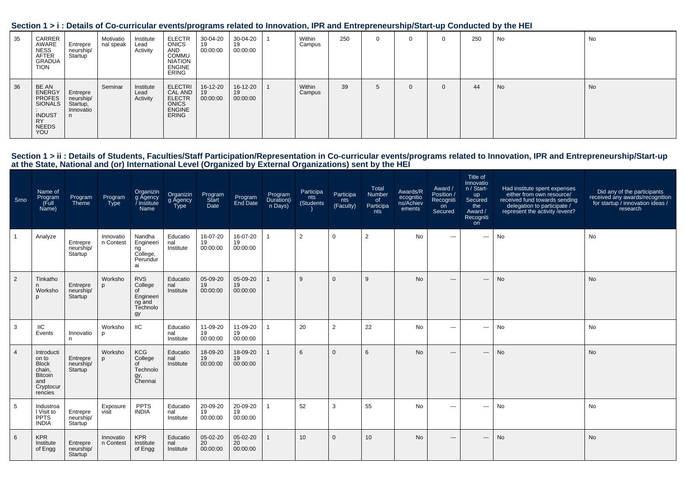| Section 1 > i : Details of Co-curricular events/programs related to Innovation, IPR and Entrepreneurship/Start-up Conducted by the HEI |  |  |
|----------------------------------------------------------------------------------------------------------------------------------------|--|--|
|                                                                                                                                        |  |  |

| 35 | CARRER<br>AWARE<br>NESS<br>AFTER<br>GRADUA<br><b>TION</b>                                        | Entrepre<br>neurship/<br>Startup               | Motivatio<br>nal speak | Institute<br>Lead<br>Activity | <b>ELECTR</b><br><b>ONICS</b><br>AND<br>COMMU<br><b>NIATION</b><br><b>ENGINE</b><br><b>ERING</b> | 30-04-20<br>19<br>00:00:00 | 30-04-20<br>19<br>00:00:00 | Within<br>Campus | 250 |  | $\Omega$ | 250 | No | No |
|----|--------------------------------------------------------------------------------------------------|------------------------------------------------|------------------------|-------------------------------|--------------------------------------------------------------------------------------------------|----------------------------|----------------------------|------------------|-----|--|----------|-----|----|----|
| 36 | BE AN<br>ENERGY<br><b>PROFES</b><br>SIONALS<br><b>INDUST</b><br><b>RY</b><br><b>NEEDS</b><br>YOU | Entrepre<br>neurship/<br>Startup,<br>Innovatio | Seminar                | Institute<br>Lead<br>Activity | <b>ELECTRI</b><br>CAL AND<br><b>ELECTR</b><br><b>ONICS</b><br>ENGINE<br><b>ERING</b>             | 16-12-20<br>19<br>00:00:00 | 16-12-20<br>19<br>00:00:00 | Within<br>Campus | 39  |  | $\Omega$ | 44  | No | No |

## Section 1 > ii : Details of Students, Faculties/Staff Participation/Representation in Co-curricular events/programs related to Innovation, IPR and Entrepreneurship/Start-up<br>at the State, National and (or) International Lev

| Srno           | Name of<br>Program<br>(Full<br>Name)                                                           | Program<br>Theme                 | Program<br>Type        | Organizin<br>g Ägency<br>Institute<br>Name                           | Organizin<br>g Agency<br><b>Type</b> | Program<br>Start<br>Date   | Program<br>End Date        | Program<br>Duration(i<br>n Days) | Participa<br>nts<br>(Students) | Participa<br>nts<br>(Faculty) | Total<br>Number<br>of<br>Participa<br>nts | Awards/R<br>ecognitio<br>ns/Achiev<br>ements | Award /<br>Position /<br>Recogniti<br>on<br>Secured | Title of<br>Innovatio<br>n / Start-<br>up<br>Secured<br>the<br>Award /<br>Recogniti<br>on | Had institute spent expenses<br>either from own resource/<br>received fund towards sending<br>delegation to participate /<br>represent the activity / event? | Did any of the participants<br>received any awards/recognition<br>for startup / innovation ideas /<br>research |
|----------------|------------------------------------------------------------------------------------------------|----------------------------------|------------------------|----------------------------------------------------------------------|--------------------------------------|----------------------------|----------------------------|----------------------------------|--------------------------------|-------------------------------|-------------------------------------------|----------------------------------------------|-----------------------------------------------------|-------------------------------------------------------------------------------------------|--------------------------------------------------------------------------------------------------------------------------------------------------------------|----------------------------------------------------------------------------------------------------------------|
|                | Analyze                                                                                        | Entrepre<br>neurship/<br>Startup | Innovatio<br>n Contest | Nandha<br>Engineeri<br>ng<br>College,<br>Perundur<br>ai              | Educatio<br>nal<br>Institute         | 16-07-20<br>19<br>00:00:00 | 16-07-20<br>19<br>00:00:00 |                                  | $\overline{2}$                 | $\mathbf 0$                   | $\overline{2}$                            | No                                           | $\cdots$                                            | ---                                                                                       | No                                                                                                                                                           | <b>No</b>                                                                                                      |
| 2              | Tinkatho<br>n<br>Worksho<br>p                                                                  | Entrepre<br>neurship/<br>Startup | Worksho                | <b>RVS</b><br>College<br>of<br>Engineeri<br>ng and<br>Technolo<br>gy | Educatio<br>nal<br>Institute         | 05-09-20<br>19<br>00:00:00 | 05-09-20<br>19<br>00:00:00 |                                  | 9                              | $\Omega$                      | 9                                         | No                                           | $---$                                               | $\cdots$                                                                                  | No                                                                                                                                                           | No                                                                                                             |
| 3              | IIC<br>Events                                                                                  | Innovatio<br>n.                  | Worksho<br>D           | IIC                                                                  | Educatio<br>nal<br>Institute         | 11-09-20<br>19<br>00:00:00 | 11-09-20<br>19<br>00:00:00 |                                  | 20                             | 2                             | 22                                        | No                                           | $\hspace{0.05cm} \ldots$                            | ---                                                                                       | No                                                                                                                                                           | <b>No</b>                                                                                                      |
| $\overline{4}$ | Introducti<br>on to<br><b>Block</b><br>chain,<br><b>Bitcoin</b><br>and<br>Cryptocur<br>rencies | Entrepre<br>neurship/<br>Startup | Worksho<br>p           | <b>KCG</b><br>College<br>of<br>Technolo<br>gy,<br>Chennai            | Educatio<br>nal<br>Institute         | 18-09-20<br>19<br>00:00:00 | 18-09-20<br>19<br>00:00:00 |                                  | 6                              | $\Omega$                      | 6                                         | <b>No</b>                                    | $---$                                               | ---                                                                                       | No                                                                                                                                                           | <b>No</b>                                                                                                      |
| 5              | Industroa<br>I Visit to<br><b>PPTS</b><br><b>INDIA</b>                                         | Entrepre<br>neurship/<br>Startup | Exposure<br>visit      | <b>PPTS</b><br><b>INDIA</b>                                          | Educatio<br>nal<br>Institute         | 20-09-20<br>19<br>00:00:00 | 20-09-20<br>19<br>00:00:00 |                                  | 52                             | 3                             | 55                                        | No                                           | $- - -$                                             | $\qquad \qquad -\qquad$                                                                   | No                                                                                                                                                           | No                                                                                                             |
| 6              | <b>KPR</b><br>Institute<br>of Engg                                                             | Entrepre<br>neurship/<br>Startup | Innovatio<br>n Contest | <b>KPR</b><br>Institute<br>of Engg                                   | Educatio<br>nal<br>Institute         | 05-02-20<br>20<br>00:00:00 | 05-02-20<br>20<br>00:00:00 |                                  | 10 <sup>1</sup>                | $\Omega$                      | 10                                        | <b>No</b>                                    | $\hspace{0.05cm} \ldots$                            | ---                                                                                       | No                                                                                                                                                           | <b>No</b>                                                                                                      |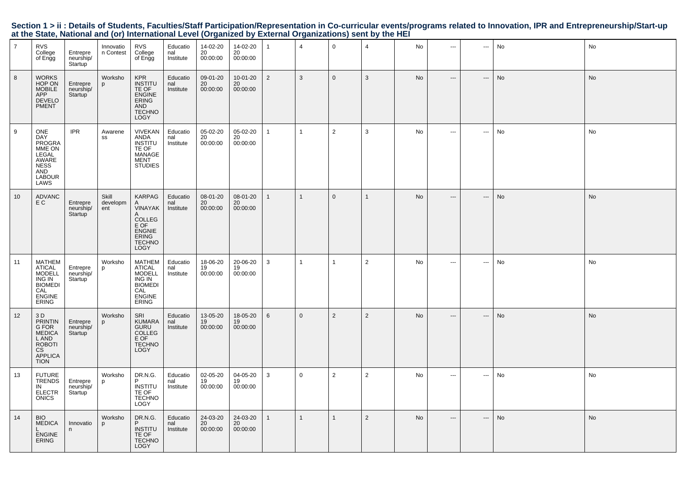|  | Section 1 > ii : Details of Students, Faculties/Staff Participation/Representation in Co-curricular events/programs related to Innovation, IPR and Entrepreneurship/Start-up |  |  |  |
|--|------------------------------------------------------------------------------------------------------------------------------------------------------------------------------|--|--|--|
|  | at the State, National and (or) International Level (Organized by External Organizations) sent by the HEI                                                                    |  |  |  |

| $\overline{7}$ | <b>RVS</b><br>College<br>of Engg                                                                                        | Entrepre<br>neurship/<br>Startup              | Innovatio<br>n Contest   | <b>RVS</b><br>College<br>of Engg                                                                                 | Educatio<br>nal<br>Institute | 14-02-20<br>20<br>00:00:00 | 14-02-20<br>20<br>00:00:00 | 1              | $\overline{4}$ | $\mathbf 0$    | $\overline{4}$ | No | $---$                    | $\sim$                        | No | No |
|----------------|-------------------------------------------------------------------------------------------------------------------------|-----------------------------------------------|--------------------------|------------------------------------------------------------------------------------------------------------------|------------------------------|----------------------------|----------------------------|----------------|----------------|----------------|----------------|----|--------------------------|-------------------------------|----|----|
| 8              | <b>WORKS</b><br>HOP ON<br><b>MOBILE</b><br><b>APP</b><br><b>DEVELO</b><br><b>PMENT</b>                                  | Entrepre<br>neurship/<br>Startup              | Worksho<br>p             | <b>KPR</b><br><b>INSTITU</b><br>TE OF<br>ENGINE<br><b>ERING</b><br>AND<br><b>TECHNO</b><br><b>LOGY</b>           | Educatio<br>nal<br>Institute | 09-01-20<br>20<br>00:00:00 | 10-01-20<br>20<br>00:00:00 | $\overline{2}$ | 3              | $\mathbf 0$    | 3              | No | $\hspace{0.05cm} \cdots$ | $\hspace{1.5cm} \textbf{---}$ | No | No |
| 9              | ONE<br><b>DAY</b><br><b>PROGRA</b><br>MME ON<br>LEGAL<br>AWARE<br><b>NESS</b><br>AND<br><b>LABOUR</b><br>LAWS           | <b>IPR</b>                                    | Awarene<br>SS            | <b>VIVEKAN</b><br>ANDA<br>INSTITU<br>TE OF<br>MANAGE<br>MENT<br><b>STUDIES</b>                                   | Educatio<br>nal<br>Institute | 05-02-20<br>20<br>00:00:00 | 05-02-20<br>20<br>00:00:00 | $\mathbf{1}$   | $\mathbf{1}$   | $\overline{2}$ | 3              | No | $\cdots$                 | ---                           | No | No |
| 10             | <b>ADVANC</b><br>E C                                                                                                    | Entrepre<br>neurship/<br>Startup              | Skill<br>developm<br>ent | KARPAG<br>VINAYAK<br>A<br><b>COLLEG</b><br>E OF<br><b>ENGNIE</b><br><b>ERING</b><br><b>TECHNO</b><br><b>LOGY</b> | Educatio<br>nal<br>Institute | 08-01-20<br>20<br>00:00:00 | 08-01-20<br>20<br>00:00:00 | $\mathbf{1}$   | $\mathbf 1$    | $\mathbf{0}$   | 1              | No | $\hspace{0.05cm} \ldots$ | $\qquad \qquad -\qquad$       | No | No |
| 11             | <b>MATHEM</b><br>ATICAL<br><b>MODELL</b><br>ING IN<br><b>BIOMEDI</b><br>CAL<br><b>ENGINE</b><br><b>ERING</b>            | Entrepre<br>neurship/<br>Startup <sup>®</sup> | Worksho<br>p             | MATHEM<br><b>ATICAL</b><br><b>MODELL</b><br>ING IN<br><b>BIOMEDI</b><br>CAL<br><b>ENGINE</b><br>ERING            | Educatio<br>nal<br>Institute | 18-06-20<br>19<br>00:00:00 | 20-06-20<br>19<br>00:00:00 | 3              | $\mathbf{1}$   | 1              | $\overline{2}$ | No | $\overline{\phantom{a}}$ | ---                           | No | No |
| 12             | 3 D<br><b>PRINTIN</b><br>G FOR<br><b>MEDICA</b><br>L AND<br><b>ROBOTI</b><br><b>CS</b><br><b>APPLICA</b><br><b>TION</b> | Entrepre<br>neurship/<br>Startup <sup>1</sup> | Worksho<br>p             | SRI<br><b>KUMARA</b><br><b>GURU</b><br>COLLEG<br>E OF<br><b>TECHNO</b><br>LOGY                                   | Educatio<br>nal<br>Institute | 13-05-20<br>19<br>00:00:00 | 18-05-20<br>19<br>00:00:00 | 6              | $\Omega$       | 2              | $\overline{2}$ | No | $---$                    | $\hspace{0.05cm} \ldots$      | No | No |
| 13             | <b>FUTURE</b><br><b>TRENDS</b><br>IN<br><b>ELECTR</b><br><b>ONICS</b>                                                   | Entrepre<br>neurship/<br>Startup              | Worksho<br>p             | DR.N.G.<br><b>INSTITU</b><br>TE OF<br><b>TECHNO</b><br>LOGY                                                      | Educatio<br>nal<br>Institute | 02-05-20<br>19<br>00:00:00 | 04-05-20<br>19<br>00:00:00 | 3              | $\mathbf 0$    | 2              | $\overline{2}$ | No | $\sim$ $\sim$            | $\overline{\phantom{a}}$      | No | No |
| 14             | <b>BIO</b><br><b>MEDICA</b><br><b>ENGINE</b><br><b>ERING</b>                                                            | Innovatio<br>n                                | Worksho<br>p             | DR.N.G.<br><b>INSTITU</b><br>TE OF<br><b>TECHNO</b><br>LOGY                                                      | Educatio<br>nal<br>Institute | 24-03-20<br>20<br>00:00:00 | 24-03-20<br>20<br>00:00:00 | $\mathbf{1}$   | $\mathbf{1}$   | $\mathbf{1}$   | 2              | No | $\hspace{0.05cm} \ldots$ | $\hspace{0.05cm} \ldots$      | No | No |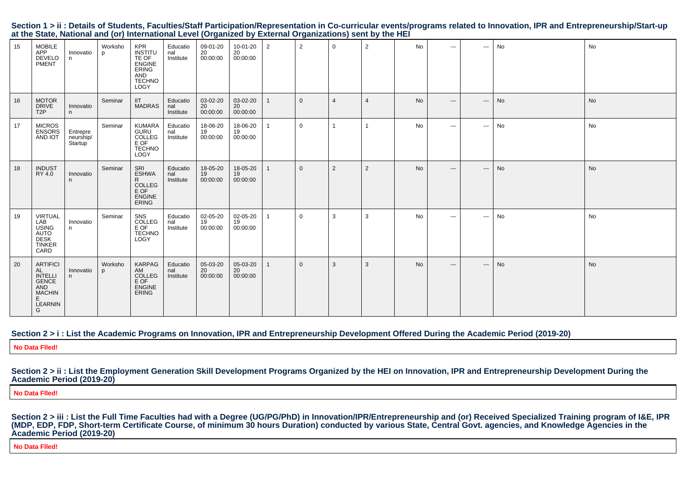|                                                                                                           |  |  | Section 1 > ii : Details of Students, Faculties/Staff Participation/Representation in Co-curricular events/programs related to Innovation, IPR and Entrepreneurship/Start-up |  |
|-----------------------------------------------------------------------------------------------------------|--|--|------------------------------------------------------------------------------------------------------------------------------------------------------------------------------|--|
| at the State, National and (or) International Level (Organized by External Organizations) sent by the HEI |  |  |                                                                                                                                                                              |  |

| 15 | <b>MOBILE</b><br>APP<br><b>DEVELO</b><br>PMENT                                                               | Innovatio<br>n.                  | Worksho<br>p | <b>KPR</b><br><b>INSTITU</b><br>TE OF<br><b>ENGINE</b><br><b>ERING</b><br>AND<br><b>TECHNO</b><br>LOGY | Educatio<br>nal<br>Institute | 09-01-20<br>20<br>00:00:00 | 10-01-20<br>20<br>00:00:00 | 2 | $\overline{2}$ | $\overline{0}$ | $\overline{2}$ | <b>No</b> | $\cdots$ | $\hspace{0.05cm} \ldots$   | No | No        |
|----|--------------------------------------------------------------------------------------------------------------|----------------------------------|--------------|--------------------------------------------------------------------------------------------------------|------------------------------|----------------------------|----------------------------|---|----------------|----------------|----------------|-----------|----------|----------------------------|----|-----------|
| 16 | <b>MOTOR</b><br><b>DRIVE</b><br>T <sub>2</sub> P                                                             | Innovatio<br>n                   | Seminar      | <b>IIT</b><br><b>MADRAS</b>                                                                            | Educatio<br>nal<br>Institute | 03-02-20<br>20<br>00:00:00 | 03-02-20<br>20<br>00:00:00 |   | $\overline{0}$ | $\overline{4}$ | $\overline{4}$ | <b>No</b> | $---$    | $\qquad \qquad - \qquad -$ | No | No        |
| 17 | <b>MICROS</b><br><b>ENSORS</b><br>AND IOT                                                                    | Entrepre<br>neurship/<br>Startup | Seminar      | <b>KUMARA</b><br>GURU<br>COLLEG<br>E OF<br><b>TECHNO</b><br>LOGY                                       | Educatio<br>nal<br>Institute | 18-06-20<br>19<br>00:00:00 | 18-06-20<br>19<br>00:00:00 |   | $\mathbf 0$    |                |                | No        | $\cdots$ | $\sim$ $\sim$ $\sim$       | No | No        |
| 18 | <b>INDUST</b><br>RY 4.0                                                                                      | Innovatio<br>n.                  | Seminar      | SRI<br><b>ESHWA</b><br>R<br><b>COLLEG</b><br>E OF<br><b>ENGINE</b><br>ERING                            | Educatio<br>nal<br>Institute | 18-05-20<br>19<br>00:00:00 | 18-05-20<br>19<br>00:00:00 |   | $\mathbf{0}$   | 2              | $\overline{2}$ | <b>No</b> | $---$    | $\qquad \qquad - \qquad -$ | No | No        |
| 19 | <b>VIRTUAL</b><br>LAB<br><b>USING</b><br><b>AUTO</b><br><b>DESK</b><br><b>TINKER</b><br>CARD                 | Innovatio<br>n                   | Seminar      | SNS<br>COLLEG<br>E OF<br><b>TECHNO</b><br><b>LOGY</b>                                                  | Educatio<br>nal<br>Institute | 02-05-20<br>19<br>00:00:00 | 02-05-20<br>19<br>00:00:00 |   | $\mathbf 0$    | 3              | 3              | No        | $- - -$  | $\sim$ $\sim$ $\sim$       | No | No        |
| 20 | <b>ARTIFICI</b><br>AL<br><b>INTELLI</b><br><b>GENCE</b><br><b>AND</b><br><b>MACHIN</b><br>E.<br>LEARNIN<br>G | Innovatio<br>n                   | Worksho<br>p | KARPAG<br>AM<br>COLLEG<br>E OF<br><b>ENGINE</b><br><b>ERING</b>                                        | Educatio<br>nal<br>Institute | 05-03-20<br>20<br>00:00:00 | 05-03-20<br>20<br>00:00:00 |   | $\overline{0}$ | 3              | 3              | <b>No</b> | $---$    | $\cdots$                   | No | <b>No</b> |

#### **Section 2 > i : List the Academic Programs on Innovation, IPR and Entrepreneurship Development Offered During the Academic Period (2019-20)**

**No Data Flled!**

**Section 2 > ii : List the Employment Generation Skill Development Programs Organized by the HEI on Innovation, IPR and Entrepreneurship Development During theAcademic Period (2019-20)**

**No Data Flled!**

Section 2 > iii : List the Full Time Faculties had with a Degree (UG/PG/PhD) in Innovation/IPR/Entrepreneurship and (or) Received Specialized Training program of I&E, IPR<br>(MDP, EDP, FDP, Short-term Certificate Course, of m **Academic Period (2019-20)**

**No Data Flled!**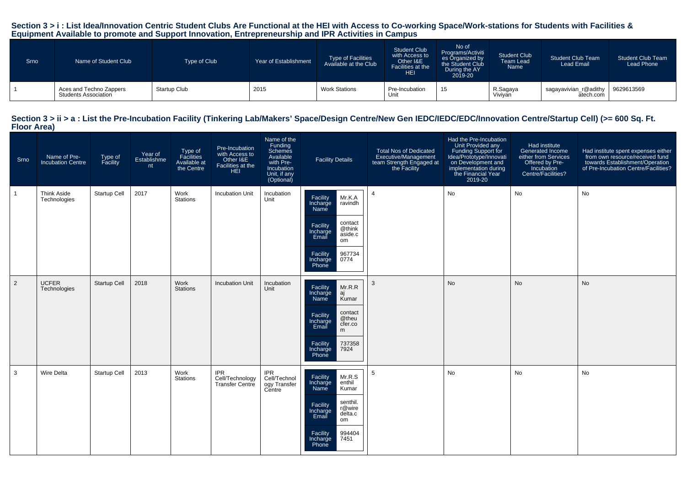## Section 3 > i : List Idea/Innovation Centric Student Clubs Are Functional at the HEI with Access to Co-working Space/Work-stations for Students with Facilities &<br>Equipment Available to promote and Support Innovation, Entre

| Srno | Name of Student Club                            | Type of Club | Year of Establishment | <b>Type of Facilities</b><br>Available at the Club | <b>Student Club</b><br>with Access to<br>Other I&E<br>Facilities at the<br><b>HEI</b> | No of<br>Programs/Activiti<br>es Organized by<br>the Student Club<br>During the AY<br>2019-20 | <b>Student Club</b><br><b>Team Lead</b><br>Name | <b>Student Club Team</b><br><b>Lead Email</b> | <b>Student Club Team</b><br>Lead Phone |
|------|-------------------------------------------------|--------------|-----------------------|----------------------------------------------------|---------------------------------------------------------------------------------------|-----------------------------------------------------------------------------------------------|-------------------------------------------------|-----------------------------------------------|----------------------------------------|
|      | Aces and Techno Zappers<br>Students Association | Startup Club | 2015                  | <b>Work Stations</b>                               | Pre-Incubation<br>Unit                                                                | 15                                                                                            | R.Sagaya<br>Viviyan                             | sagayavivian_r@adithy<br>atech.com            | 9629613569                             |

#### Section 3 > ii > a : List the Pre-Incubation Facility (Tinkering Lab/Makers' Space/Design Centre/New Gen IEDC/IEDC/EDC/Innovation Centre/Startup Cell) (>= 600 Sq. Ft. **Floor Area)**

| Srno | Name of Pre-<br><b>Incubation Centre</b> | Type of<br>Facility | Year of<br>Establishme<br>nt | Type of<br>Facilities<br>Available at<br>the Centre | Pre-Incubation<br>with Access to<br>Other I&E<br>Facilities at the<br><b>HEI</b> | Name of the<br>Funding<br>Schemes<br>Available<br>with Pre-<br>Incubation<br>Unit, if any<br>(Optional) | <b>Facility Details</b>                                                                                                                                                              | Total Nos of Dedicated<br>Executive/Management<br>team Strength Engaged at<br>the Facility | Had the Pre-Incubation<br>Unit Provided any<br>Funding Support for<br>Idea/Prototype/Innovati<br>on Development and<br>implementation during<br>the Financial Year<br>2019-20 | Had institute<br>Generated Income<br>either from Services<br>Offered by Pre-<br>Incubation<br>Centre/Facilities? | Had institute spent expenses either<br>from own resource/received fund<br>towards Establishment/Operation<br>of Pre-Incubation Centre/Facilities? |
|------|------------------------------------------|---------------------|------------------------------|-----------------------------------------------------|----------------------------------------------------------------------------------|---------------------------------------------------------------------------------------------------------|--------------------------------------------------------------------------------------------------------------------------------------------------------------------------------------|--------------------------------------------------------------------------------------------|-------------------------------------------------------------------------------------------------------------------------------------------------------------------------------|------------------------------------------------------------------------------------------------------------------|---------------------------------------------------------------------------------------------------------------------------------------------------|
|      | <b>Think Aside</b><br>Technologies       | <b>Startup Cell</b> | 2017                         | Work<br><b>Stations</b>                             | <b>Incubation Unit</b>                                                           | Incubation<br>Unit                                                                                      | Mr.K.A<br>Facility<br>Incharge<br>ravindh<br>Name<br>contact<br>Facility<br>@think<br>Incharge<br>aside.c<br>Email<br>om<br>967734<br>Facility<br>0774<br>Incharge<br>Phone          | $\overline{4}$                                                                             | No                                                                                                                                                                            | <b>No</b>                                                                                                        | <b>No</b>                                                                                                                                         |
| 2    | <b>UCFER</b><br>Technologies             | <b>Startup Cell</b> | 2018                         | Work<br><b>Stations</b>                             | <b>Incubation Unit</b>                                                           | Incubation<br>Unit                                                                                      | Mr.R.R<br>Facility<br>Incharge<br>Name<br>aj<br>Kumar<br>contact<br>Facility<br>@theu<br>Incharge<br>cfer.co<br>Email<br>m<br>Facility<br>737358<br>7924<br>Incharge<br>Phone        | 3                                                                                          | No                                                                                                                                                                            | <b>No</b>                                                                                                        | <b>No</b>                                                                                                                                         |
| 3    | Wire Delta                               | <b>Startup Cell</b> | 2013                         | Work<br>Stations                                    | <b>IPR</b><br>Cell/Technology<br>Transfer Centre                                 | <b>IPR</b><br>Cell/Technol<br>ogy Transfer<br>Centre                                                    | Facility<br>Mr.R.S<br>enthil<br>Incharge<br>Kumar<br>Name<br>senthil.<br>Facility<br>r@wire<br>Incharge<br>delta.c<br>Email<br>om<br>994404<br>Facility<br>7451<br>Incharge<br>Phone | 5                                                                                          | No                                                                                                                                                                            | No                                                                                                               | No                                                                                                                                                |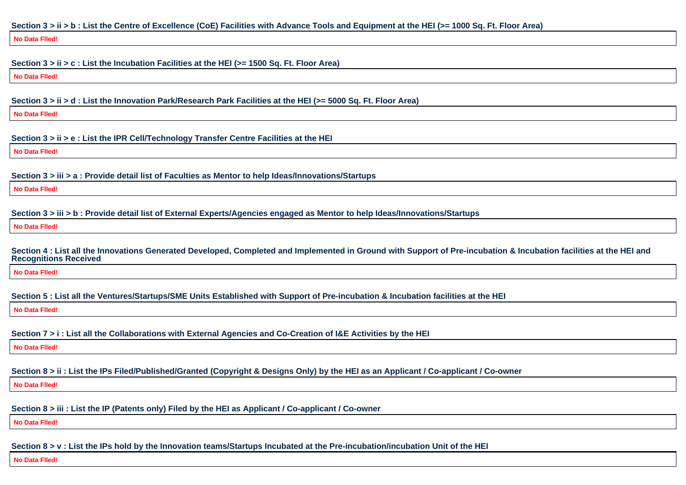#### **Section 3 > ii > b : List the Centre of Excellence (CoE) Facilities with Advance Tools and Equipment at the HEI (>= 1000 Sq. Ft. Floor Area)**

**No Data Flled!**

#### **Section 3 > ii > c : List the Incubation Facilities at the HEI (>= 1500 Sq. Ft. Floor Area)**

**No Data Flled!**

#### **Section 3 > ii > d : List the Innovation Park/Research Park Facilities at the HEI (>= 5000 Sq. Ft. Floor Area)**

**No Data Flled!**

#### **Section 3 > ii > e : List the IPR Cell/Technology Transfer Centre Facilities at the HEI**

**No Data Flled!**

#### **Section 3 > iii > a : Provide detail list of Faculties as Mentor to help Ideas/Innovations/Startups**

**No Data Flled!**

#### **Section 3 > iii > b : Provide detail list of External Experts/Agencies engaged as Mentor to help Ideas/Innovations/Startups**

**No Data Flled!**

#### **Section 4 : List all the Innovations Generated Developed, Completed and Implemented in Ground with Support of Pre-incubation & Incubation facilities at the HEI andRecognitions Received**

**No Data Flled!**

**Section 5 : List all the Ventures/Startups/SME Units Established with Support of Pre-incubation & Incubation facilities at the HEI**

**No Data Flled!**

## **Section 7 > i : List all the Collaborations with External Agencies and Co-Creation of I&E Activities by the HEI**

**No Data Flled!**

## **Section 8 > ii : List the IPs Filed/Published/Granted (Copyright & Designs Only) by the HEI as an Applicant / Co-applicant / Co-owner**

**No Data Flled!**

## **Section 8 > iii : List the IP (Patents only) Filed by the HEI as Applicant / Co-applicant / Co-owner**

**No Data Flled!**

## **Section 8 > v : List the IPs hold by the Innovation teams/Startups Incubated at the Pre-incubation/incubation Unit of the HEI**

**No Data Flled!**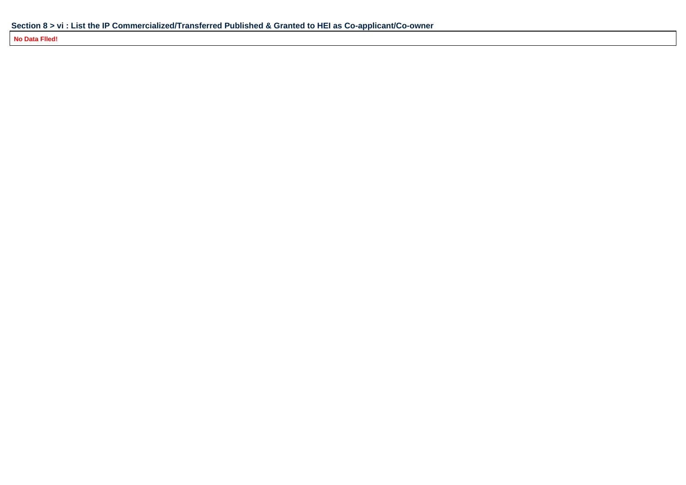**No Data Flled!**